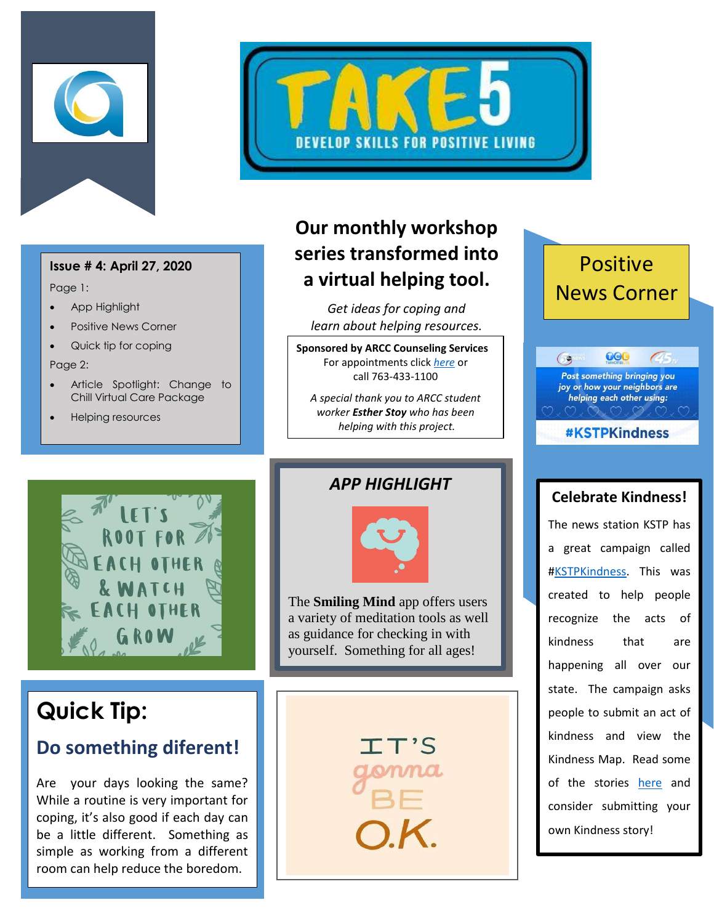



Page 1:

- App Highlight
- Positive News Corner
- Quick tip for coping

Page 2:

- Article Spotlight: Change to Chill Virtual Care Package
- Helping resources



# **Our monthly workshop series transformed into a virtual helping tool.**

*Get ideas for coping and learn about helping resources.*

**Sponsored by ARCC Counseling Services** For appointments click *[here](http://www.anokaramsey.edu/resources/counseling-services/personal-counseling/)* or call 763-433-1100

*A special thank you to ARCC student worker Esther Stoy who has been helping with this project.*

# Positive News Corner

000  $\bigcirc$ Post something bringing you joy or how your neighbors are helping each other using:

**#KSTPKindness** 

# **Quick Tip:**

# **Do something diferent!**

Are your days looking the same? While a routine is very important for coping, it's also good if each day can be a little different. Something as simple as working from a different room can help reduce the boredom.

### *APP HIGHLIGHT*

![](_page_0_Picture_21.jpeg)

The **Smiling Mind** app offers users a variety of meditation tools as well as guidance for checking in with yourself. Something for all ages!

l

 $\overline{\phantom{a}}$ 

#### **Celebrate Kindness!**

The news station KSTP has a great campaign called [#KSTPKindness.](https://kstp.com/events/kindness/5684240/?cat=36) This was created to help people recognize the acts of kindness that are happening all over our state. The campaign asks people to submit an act of kindness and view the Kindness Map. Read some of the stories [here](https://kstp.com/events/kindness/5684240/?cat=36) and consider submitting your own Kindness story!